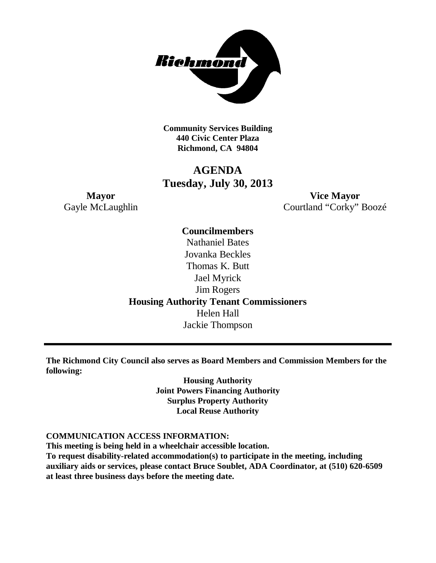

**Community Services Building 440 Civic Center Plaza Richmond, CA 94804**

### **AGENDA Tuesday, July 30, 2013**

**Mayor Vice Mayor** Gayle McLaughlin Courtland "Corky" Boozé

> **Councilmembers** Nathaniel Bates Jovanka Beckles Thomas K. Butt Jael Myrick Jim Rogers **Housing Authority Tenant Commissioners** Helen Hall Jackie Thompson

**The Richmond City Council also serves as Board Members and Commission Members for the following:**

> **Housing Authority Joint Powers Financing Authority Surplus Property Authority Local Reuse Authority**

#### **COMMUNICATION ACCESS INFORMATION:**

**This meeting is being held in a wheelchair accessible location.**

**To request disability-related accommodation(s) to participate in the meeting, including auxiliary aids or services, please contact Bruce Soublet, ADA Coordinator, at (510) 620-6509 at least three business days before the meeting date.**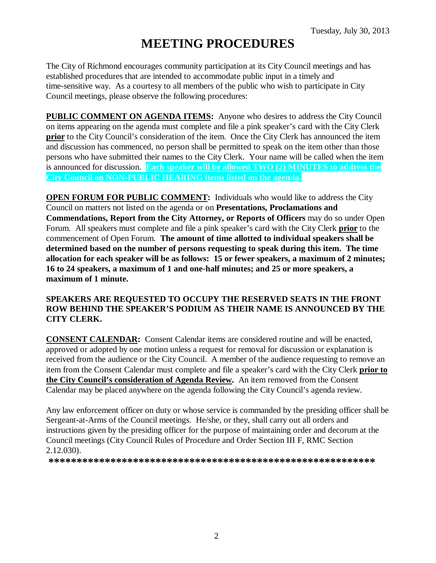# **MEETING PROCEDURES**

The City of Richmond encourages community participation at its City Council meetings and has established procedures that are intended to accommodate public input in a timely and time-sensitive way. As a courtesy to all members of the public who wish to participate in City Council meetings, please observe the following procedures:

**PUBLIC COMMENT ON AGENDA ITEMS:** Anyone who desires to address the City Council on items appearing on the agenda must complete and file a pink speaker's card with the City Clerk **prior** to the City Council's consideration of the item. Once the City Clerk has announced the item and discussion has commenced, no person shall be permitted to speak on the item other than those persons who have submitted their names to the City Clerk. Your name will be called when the item is announced for discussion. **Each speaker will be allowed TWO (2) MINUTES to address the City Council on NON-PUBLIC HEARING items listed on the agenda.**

**OPEN FORUM FOR PUBLIC COMMENT:** Individuals who would like to address the City Council on matters not listed on the agenda or on **Presentations, Proclamations and Commendations, Report from the City Attorney, or Reports of Officers** may do so under Open Forum. All speakers must complete and file a pink speaker's card with the City Clerk **prior** to the commencement of Open Forum. **The amount of time allotted to individual speakers shall be determined based on the number of persons requesting to speak during this item. The time allocation for each speaker will be as follows: 15 or fewer speakers, a maximum of 2 minutes; 16 to 24 speakers, a maximum of 1 and one-half minutes; and 25 or more speakers, a maximum of 1 minute.**

### **SPEAKERS ARE REQUESTED TO OCCUPY THE RESERVED SEATS IN THE FRONT ROW BEHIND THE SPEAKER'S PODIUM AS THEIR NAME IS ANNOUNCED BY THE CITY CLERK.**

**CONSENT CALENDAR:** Consent Calendar items are considered routine and will be enacted, approved or adopted by one motion unless a request for removal for discussion or explanation is received from the audience or the City Council. A member of the audience requesting to remove an item from the Consent Calendar must complete and file a speaker's card with the City Clerk **prior to the City Council's consideration of Agenda Review.** An item removed from the Consent Calendar may be placed anywhere on the agenda following the City Council's agenda review.

Any law enforcement officer on duty or whose service is commanded by the presiding officer shall be Sergeant-at-Arms of the Council meetings. He/she, or they, shall carry out all orders and instructions given by the presiding officer for the purpose of maintaining order and decorum at the Council meetings (City Council Rules of Procedure and Order Section III F, RMC Section 2.12.030).

**\*\*\*\*\*\*\*\*\*\*\*\*\*\*\*\*\*\*\*\*\*\*\*\*\*\*\*\*\*\*\*\*\*\*\*\*\*\*\*\*\*\*\*\*\*\*\*\*\*\*\*\*\*\*\*\*\*\***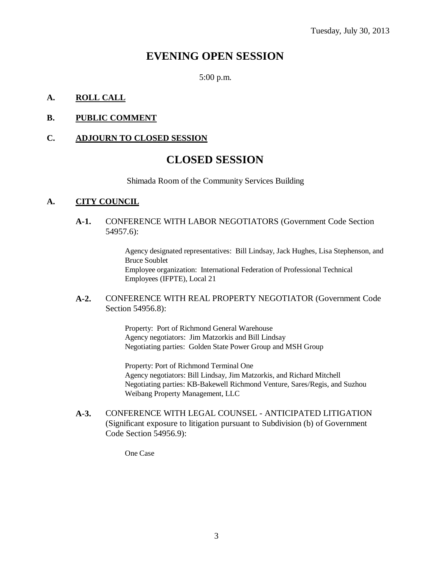### **EVENING OPEN SESSION**

5:00 p.m.

### **A. ROLL CALL**

### **B. PUBLIC COMMENT**

### **C. ADJOURN TO CLOSED SESSION**

### **CLOSED SESSION**

Shimada Room of the Community Services Building

### **A. CITY COUNCIL**

#### **A-1.** CONFERENCE WITH LABOR NEGOTIATORS (Government Code Section 54957.6):

Agency designated representatives: Bill Lindsay, Jack Hughes, Lisa Stephenson, and Bruce Soublet Employee organization: International Federation of Professional Technical Employees (IFPTE), Local 21

### **A-2.** CONFERENCE WITH REAL PROPERTY NEGOTIATOR (Government Code Section 54956.8):

Property: Port of Richmond General Warehouse Agency negotiators: Jim Matzorkis and Bill Lindsay Negotiating parties: Golden State Power Group and MSH Group

Property: Port of Richmond Terminal One Agency negotiators: Bill Lindsay, Jim Matzorkis, and Richard Mitchell Negotiating parties: KB-Bakewell Richmond Venture, Sares/Regis, and Suzhou Weibang Property Management, LLC

**A-3.** CONFERENCE WITH LEGAL COUNSEL - ANTICIPATED LITIGATION (Significant exposure to litigation pursuant to Subdivision (b) of Government Code Section 54956.9):

One Case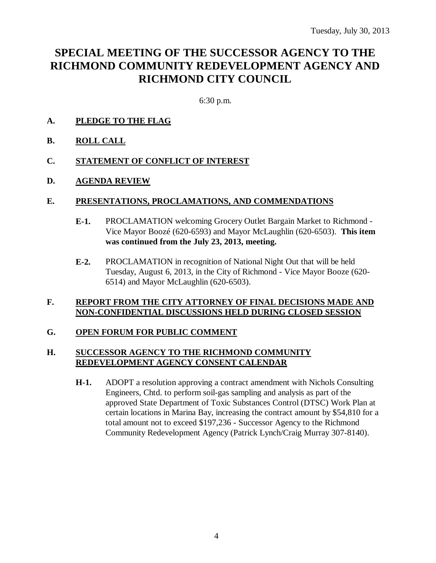## **SPECIAL MEETING OF THE SUCCESSOR AGENCY TO THE RICHMOND COMMUNITY REDEVELOPMENT AGENCY AND RICHMOND CITY COUNCIL**

6:30 p.m.

- **A. PLEDGE TO THE FLAG**
- **B. ROLL CALL**
- **C. STATEMENT OF CONFLICT OF INTEREST**
- **D. AGENDA REVIEW**

### **E. PRESENTATIONS, PROCLAMATIONS, AND COMMENDATIONS**

- **E-1.** PROCLAMATION welcoming Grocery Outlet Bargain Market to Richmond Vice Mayor Boozé (620-6593) and Mayor McLaughlin (620-6503). **This item was continued from the July 23, 2013, meeting.**
- **E-2.** PROCLAMATION in recognition of National Night Out that will be held Tuesday, August 6, 2013, in the City of Richmond - Vice Mayor Booze (620- 6514) and Mayor McLaughlin (620-6503).

### **F. REPORT FROM THE CITY ATTORNEY OF FINAL DECISIONS MADE AND NON-CONFIDENTIAL DISCUSSIONS HELD DURING CLOSED SESSION**

### **G. OPEN FORUM FOR PUBLIC COMMENT**

### **H. SUCCESSOR AGENCY TO THE RICHMOND COMMUNITY REDEVELOPMENT AGENCY CONSENT CALENDAR**

**H-1.** ADOPT a resolution approving a contract amendment with Nichols Consulting Engineers, Chtd. to perform soil-gas sampling and analysis as part of the approved State Department of Toxic Substances Control (DTSC) Work Plan at certain locations in Marina Bay, increasing the contract amount by \$54,810 for a total amount not to exceed \$197,236 - Successor Agency to the Richmond Community Redevelopment Agency (Patrick Lynch/Craig Murray 307-8140).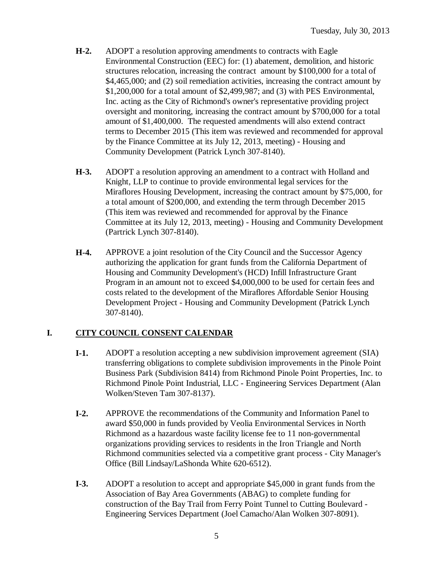- **H-2.** ADOPT a resolution approving amendments to contracts with Eagle Environmental Construction (EEC) for: (1) abatement, demolition, and historic structures relocation, increasing the contract amount by \$100,000 for a total of \$4,465,000; and (2) soil remediation activities, increasing the contract amount by \$1,200,000 for a total amount of \$2,499,987; and (3) with PES Environmental, Inc. acting as the City of Richmond's owner's representative providing project oversight and monitoring, increasing the contract amount by \$700,000 for a total amount of \$1,400,000. The requested amendments will also extend contract terms to December 2015 (This item was reviewed and recommended for approval by the Finance Committee at its July 12, 2013, meeting) - Housing and Community Development (Patrick Lynch 307-8140).
- **H-3.** ADOPT a resolution approving an amendment to a contract with Holland and Knight, LLP to continue to provide environmental legal services for the Miraflores Housing Development, increasing the contract amount by \$75,000, for a total amount of \$200,000, and extending the term through December 2015 (This item was reviewed and recommended for approval by the Finance Committee at its July 12, 2013, meeting) - Housing and Community Development (Partrick Lynch 307-8140).
- **H-4.** APPROVE a joint resolution of the City Council and the Successor Agency authorizing the application for grant funds from the California Department of Housing and Community Development's (HCD) Infill Infrastructure Grant Program in an amount not to exceed \$4,000,000 to be used for certain fees and costs related to the development of the Miraflores Affordable Senior Housing Development Project - Housing and Community Development (Patrick Lynch 307-8140).

### **I. CITY COUNCIL CONSENT CALENDAR**

- **I-1.** ADOPT a resolution accepting a new subdivision improvement agreement (SIA) transferring obligations to complete subdivision improvements in the Pinole Point Business Park (Subdivision 8414) from Richmond Pinole Point Properties, Inc. to Richmond Pinole Point Industrial, LLC - Engineering Services Department (Alan Wolken/Steven Tam 307-8137).
- **I-2.** APPROVE the recommendations of the Community and Information Panel to award \$50,000 in funds provided by Veolia Environmental Services in North Richmond as a hazardous waste facility license fee to 11 non-governmental organizations providing services to residents in the Iron Triangle and North Richmond communities selected via a competitive grant process - City Manager's Office (Bill Lindsay/LaShonda White 620-6512).
- **I-3.** ADOPT a resolution to accept and appropriate \$45,000 in grant funds from the Association of Bay Area Governments (ABAG) to complete funding for construction of the Bay Trail from Ferry Point Tunnel to Cutting Boulevard - Engineering Services Department (Joel Camacho/Alan Wolken 307-8091).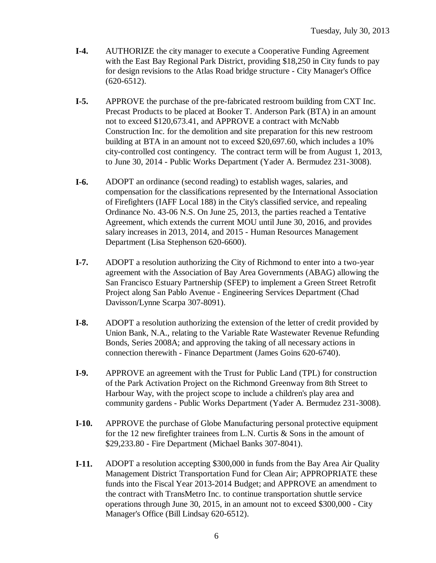- **I-4.** AUTHORIZE the city manager to execute a Cooperative Funding Agreement with the East Bay Regional Park District, providing \$18,250 in City funds to pay for design revisions to the Atlas Road bridge structure - City Manager's Office (620-6512).
- **I-5.** APPROVE the purchase of the pre-fabricated restroom building from CXT Inc. Precast Products to be placed at Booker T. Anderson Park (BTA) in an amount not to exceed \$120,673.41, and APPROVE a contract with McNabb Construction Inc. for the demolition and site preparation for this new restroom building at BTA in an amount not to exceed \$20,697.60, which includes a 10% city-controlled cost contingency. The contract term will be from August 1, 2013, to June 30, 2014 - Public Works Department (Yader A. Bermudez 231-3008).
- **I-6.** ADOPT an ordinance (second reading) to establish wages, salaries, and compensation for the classifications represented by the International Association of Firefighters (IAFF Local 188) in the City's classified service, and repealing Ordinance No. 43-06 N.S. On June 25, 2013, the parties reached a Tentative Agreement, which extends the current MOU until June 30, 2016, and provides salary increases in 2013, 2014, and 2015 - Human Resources Management Department (Lisa Stephenson 620-6600).
- **I-7.** ADOPT a resolution authorizing the City of Richmond to enter into a two-year agreement with the Association of Bay Area Governments (ABAG) allowing the San Francisco Estuary Partnership (SFEP) to implement a Green Street Retrofit Project along San Pablo Avenue - Engineering Services Department (Chad Davisson/Lynne Scarpa 307-8091).
- **I-8.** ADOPT a resolution authorizing the extension of the letter of credit provided by Union Bank, N.A., relating to the Variable Rate Wastewater Revenue Refunding Bonds, Series 2008A; and approving the taking of all necessary actions in connection therewith - Finance Department (James Goins 620-6740).
- **I-9.** APPROVE an agreement with the Trust for Public Land (TPL) for construction of the Park Activation Project on the Richmond Greenway from 8th Street to Harbour Way, with the project scope to include a children's play area and community gardens - Public Works Department (Yader A. Bermudez 231-3008).
- **I-10.** APPROVE the purchase of Globe Manufacturing personal protective equipment for the 12 new firefighter trainees from L.N. Curtis & Sons in the amount of \$29,233.80 - Fire Department (Michael Banks 307-8041).
- **I-11.** ADOPT a resolution accepting \$300,000 in funds from the Bay Area Air Quality Management District Transportation Fund for Clean Air; APPROPRIATE these funds into the Fiscal Year 2013-2014 Budget; and APPROVE an amendment to the contract with TransMetro Inc. to continue transportation shuttle service operations through June 30, 2015, in an amount not to exceed \$300,000 - City Manager's Office (Bill Lindsay 620-6512).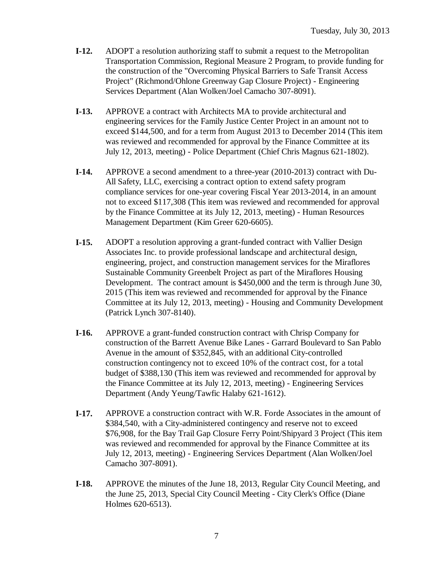- **I-12.** ADOPT a resolution authorizing staff to submit a request to the Metropolitan Transportation Commission, Regional Measure 2 Program, to provide funding for the construction of the "Overcoming Physical Barriers to Safe Transit Access Project" (Richmond/Ohlone Greenway Gap Closure Project) - Engineering Services Department (Alan Wolken/Joel Camacho 307-8091).
- **I-13.** APPROVE a contract with Architects MA to provide architectural and engineering services for the Family Justice Center Project in an amount not to exceed \$144,500, and for a term from August 2013 to December 2014 (This item was reviewed and recommended for approval by the Finance Committee at its July 12, 2013, meeting) - Police Department (Chief Chris Magnus 621-1802).
- **I-14.** APPROVE a second amendment to a three-year (2010-2013) contract with Du-All Safety, LLC, exercising a contract option to extend safety program compliance services for one-year covering Fiscal Year 2013-2014, in an amount not to exceed \$117,308 (This item was reviewed and recommended for approval by the Finance Committee at its July 12, 2013, meeting) - Human Resources Management Department (Kim Greer 620-6605).
- **I-15.** ADOPT a resolution approving a grant-funded contract with Vallier Design Associates Inc. to provide professional landscape and architectural design, engineering, project, and construction management services for the Miraflores Sustainable Community Greenbelt Project as part of the Miraflores Housing Development. The contract amount is \$450,000 and the term is through June 30, 2015 (This item was reviewed and recommended for approval by the Finance Committee at its July 12, 2013, meeting) - Housing and Community Development (Patrick Lynch 307-8140).
- **I-16.** APPROVE a grant-funded construction contract with Chrisp Company for construction of the Barrett Avenue Bike Lanes - Garrard Boulevard to San Pablo Avenue in the amount of \$352,845, with an additional City-controlled construction contingency not to exceed 10% of the contract cost, for a total budget of \$388,130 (This item was reviewed and recommended for approval by the Finance Committee at its July 12, 2013, meeting) - Engineering Services Department (Andy Yeung/Tawfic Halaby 621-1612).
- **I-17.** APPROVE a construction contract with W.R. Forde Associates in the amount of \$384,540, with a City-administered contingency and reserve not to exceed \$76,908, for the Bay Trail Gap Closure Ferry Point/Shipyard 3 Project (This item was reviewed and recommended for approval by the Finance Committee at its July 12, 2013, meeting) - Engineering Services Department (Alan Wolken/Joel Camacho 307-8091).
- **I-18.** APPROVE the minutes of the June 18, 2013, Regular City Council Meeting, and the June 25, 2013, Special City Council Meeting - City Clerk's Office (Diane Holmes 620-6513).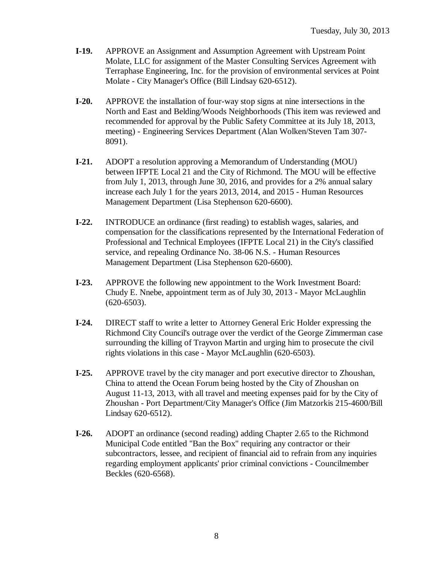- **I-19.** APPROVE an Assignment and Assumption Agreement with Upstream Point Molate, LLC for assignment of the Master Consulting Services Agreement with Terraphase Engineering, Inc. for the provision of environmental services at Point Molate - City Manager's Office (Bill Lindsay 620-6512).
- **I-20.** APPROVE the installation of four-way stop signs at nine intersections in the North and East and Belding/Woods Neighborhoods (This item was reviewed and recommended for approval by the Public Safety Committee at its July 18, 2013, meeting) - Engineering Services Department (Alan Wolken/Steven Tam 307- 8091).
- **I-21.** ADOPT a resolution approving a Memorandum of Understanding (MOU) between IFPTE Local 21 and the City of Richmond. The MOU will be effective from July 1, 2013, through June 30, 2016, and provides for a 2% annual salary increase each July 1 for the years 2013, 2014, and 2015 - Human Resources Management Department (Lisa Stephenson 620-6600).
- **I-22.** INTRODUCE an ordinance (first reading) to establish wages, salaries, and compensation for the classifications represented by the International Federation of Professional and Technical Employees (IFPTE Local 21) in the City's classified service, and repealing Ordinance No. 38-06 N.S. - Human Resources Management Department (Lisa Stephenson 620-6600).
- **I-23.** APPROVE the following new appointment to the Work Investment Board: Chudy E. Nnebe, appointment term as of July 30, 2013 - Mayor McLaughlin (620-6503).
- **I-24.** DIRECT staff to write a letter to Attorney General Eric Holder expressing the Richmond City Council's outrage over the verdict of the George Zimmerman case surrounding the killing of Trayvon Martin and urging him to prosecute the civil rights violations in this case - Mayor McLaughlin (620-6503).
- **I-25.** APPROVE travel by the city manager and port executive director to Zhoushan, China to attend the Ocean Forum being hosted by the City of Zhoushan on August 11-13, 2013, with all travel and meeting expenses paid for by the City of Zhoushan - Port Department/City Manager's Office (Jim Matzorkis 215-4600/Bill Lindsay 620-6512).
- **I-26.** ADOPT an ordinance (second reading) adding Chapter 2.65 to the Richmond Municipal Code entitled "Ban the Box" requiring any contractor or their subcontractors, lessee, and recipient of financial aid to refrain from any inquiries regarding employment applicants' prior criminal convictions - Councilmember Beckles (620-6568).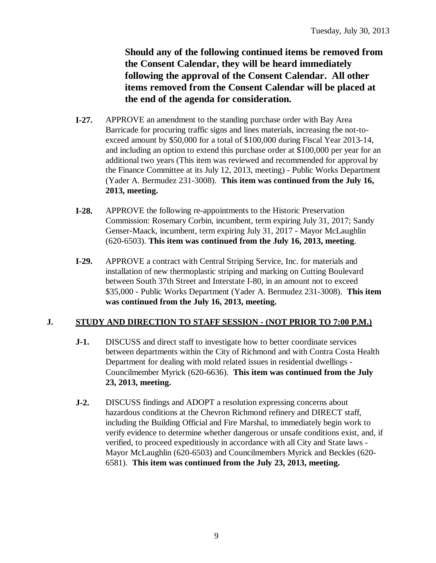**Should any of the following continued items be removed from the Consent Calendar, they will be heard immediately following the approval of the Consent Calendar. All other items removed from the Consent Calendar will be placed at the end of the agenda for consideration.**

- **I-27.** APPROVE an amendment to the standing purchase order with Bay Area Barricade for procuring traffic signs and lines materials, increasing the not-toexceed amount by \$50,000 for a total of \$100,000 during Fiscal Year 2013-14, and including an option to extend this purchase order at \$100,000 per year for an additional two years (This item was reviewed and recommended for approval by the Finance Committee at its July 12, 2013, meeting) - Public Works Department (Yader A. Bermudez 231-3008). **This item was continued from the July 16, 2013, meeting.**
- **I-28.** APPROVE the following re-appointments to the Historic Preservation Commission: Rosemary Corbin, incumbent, term expiring July 31, 2017; Sandy Genser-Maack, incumbent, term expiring July 31, 2017 - Mayor McLaughlin (620-6503). **This item was continued from the July 16, 2013, meeting**.
- **I-29.** APPROVE a contract with Central Striping Service, Inc. for materials and installation of new thermoplastic striping and marking on Cutting Boulevard between South 37th Street and Interstate I-80, in an amount not to exceed \$35,000 - Public Works Department (Yader A. Bermudez 231-3008). **This item was continued from the July 16, 2013, meeting.**

### **J. STUDY AND DIRECTION TO STAFF SESSION - (NOT PRIOR TO 7:00 P.M.)**

- **J-1.** DISCUSS and direct staff to investigate how to better coordinate services between departments within the City of Richmond and with Contra Costa Health Department for dealing with mold related issues in residential dwellings - Councilmember Myrick (620-6636). **This item was continued from the July 23, 2013, meeting.**
- **J-2.** DISCUSS findings and ADOPT a resolution expressing concerns about hazardous conditions at the Chevron Richmond refinery and DIRECT staff, including the Building Official and Fire Marshal, to immediately begin work to verify evidence to determine whether dangerous or unsafe conditions exist, and, if verified, to proceed expeditiously in accordance with all City and State laws - Mayor McLaughlin (620-6503) and Councilmembers Myrick and Beckles (620- 6581). **This item was continued from the July 23, 2013, meeting.**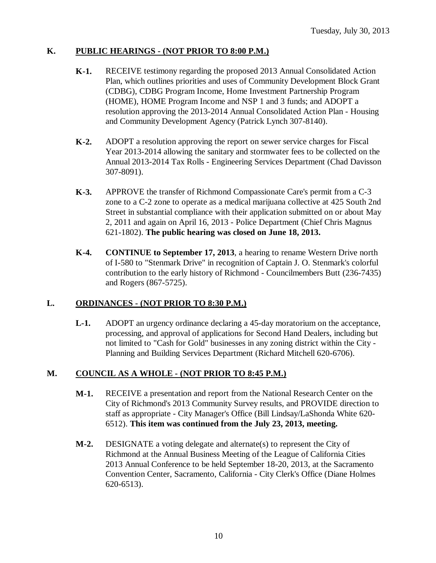### **K. PUBLIC HEARINGS - (NOT PRIOR TO 8:00 P.M.)**

- **K-1.** RECEIVE testimony regarding the proposed 2013 Annual Consolidated Action Plan, which outlines priorities and uses of Community Development Block Grant (CDBG), CDBG Program Income, Home Investment Partnership Program (HOME), HOME Program Income and NSP 1 and 3 funds; and ADOPT a resolution approving the 2013-2014 Annual Consolidated Action Plan - Housing and Community Development Agency (Patrick Lynch 307-8140).
- **K-2.** ADOPT a resolution approving the report on sewer service charges for Fiscal Year 2013-2014 allowing the sanitary and stormwater fees to be collected on the Annual 2013-2014 Tax Rolls - Engineering Services Department (Chad Davisson 307-8091).
- **K-3.** APPROVE the transfer of Richmond Compassionate Care's permit from a C-3 zone to a C-2 zone to operate as a medical marijuana collective at 425 South 2nd Street in substantial compliance with their application submitted on or about May 2, 2011 and again on April 16, 2013 - Police Department (Chief Chris Magnus 621-1802). **The public hearing was closed on June 18, 2013.**
- **K-4. CONTINUE to September 17, 2013**, a hearing to rename Western Drive north of I-580 to "Stenmark Drive" in recognition of Captain J. O. Stenmark's colorful contribution to the early history of Richmond - Councilmembers Butt (236-7435) and Rogers (867-5725).

### **L. ORDINANCES - (NOT PRIOR TO 8:30 P.M.)**

**L-1.** ADOPT an urgency ordinance declaring a 45-day moratorium on the acceptance, processing, and approval of applications for Second Hand Dealers, including but not limited to "Cash for Gold" businesses in any zoning district within the City - Planning and Building Services Department (Richard Mitchell 620-6706).

### **M. COUNCIL AS A WHOLE - (NOT PRIOR TO 8:45 P.M.)**

- **M-1.** RECEIVE a presentation and report from the National Research Center on the City of Richmond's 2013 Community Survey results, and PROVIDE direction to staff as appropriate - City Manager's Office (Bill Lindsay/LaShonda White 620- 6512). **This item was continued from the July 23, 2013, meeting.**
- **M-2.** DESIGNATE a voting delegate and alternate(s) to represent the City of Richmond at the Annual Business Meeting of the League of California Cities 2013 Annual Conference to be held September 18-20, 2013, at the Sacramento Convention Center, Sacramento, California - City Clerk's Office (Diane Holmes 620-6513).